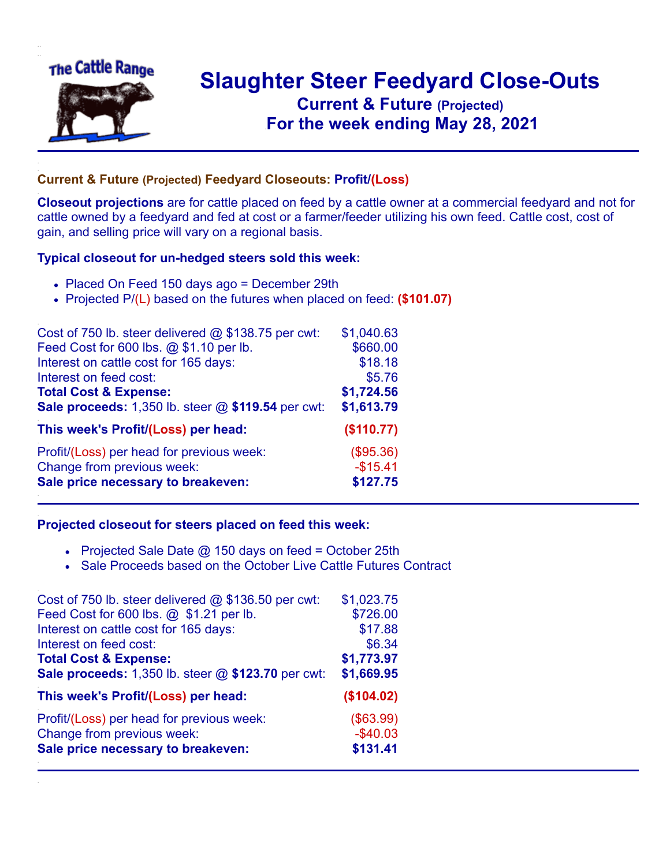

## **Slaughter Steer Feedyard Close-Outs Current & Future (Projected)** .**For the week ending May 28, 2021**

## **Current & Future (Projected) Feedyard Closeouts: Profit/(Loss)**

**Closeout projections** are for cattle placed on feed by a cattle owner at a commercial feedyard and not for cattle owned by a feedyard and fed at cost or a farmer/feeder utilizing his own feed. Cattle cost, cost of gain, and selling price will vary on a regional basis.

## **Typical closeout for un-hedged steers sold this week:**

- Placed On Feed 150 days ago = December 29th
- Projected P/(L) based on the futures when placed on feed: **(\$101.07)**

| Cost of 750 lb. steer delivered $@$ \$138.75 per cwt: | \$1,040.63 |
|-------------------------------------------------------|------------|
| Feed Cost for 600 lbs. @ \$1.10 per lb.               | \$660.00   |
| Interest on cattle cost for 165 days:                 | \$18.18    |
| Interest on feed cost:                                | \$5.76     |
| <b>Total Cost &amp; Expense:</b>                      | \$1,724.56 |
| Sale proceeds: 1,350 lb. steer @ \$119.54 per cwt:    | \$1,613.79 |
| This week's Profit/(Loss) per head:                   | (\$110.77) |
| Profit/(Loss) per head for previous week:             | (\$95.36)  |
| Change from previous week:                            | $-$15.41$  |
| Sale price necessary to breakeven:                    | \$127.75   |

## **Projected closeout for steers placed on feed this week:**

- Projected Sale Date  $@$  150 days on feed = October 25th
- Sale Proceeds based on the October Live Cattle Futures Contract

| Cost of 750 lb. steer delivered $@$ \$136.50 per cwt: | \$1,023.75 |
|-------------------------------------------------------|------------|
| Feed Cost for 600 lbs. @ \$1.21 per lb.               | \$726.00   |
| Interest on cattle cost for 165 days:                 | \$17.88    |
| Interest on feed cost:                                | \$6.34     |
| <b>Total Cost &amp; Expense:</b>                      | \$1,773.97 |
| Sale proceeds: 1,350 lb. steer @ \$123.70 per cwt:    | \$1,669.95 |
| This week's Profit/(Loss) per head:                   | (\$104.02) |
| Profit/(Loss) per head for previous week:             | (\$63.99)  |
| Change from previous week:                            | $-$40.03$  |
| Sale price necessary to breakeven:                    | \$131.41   |